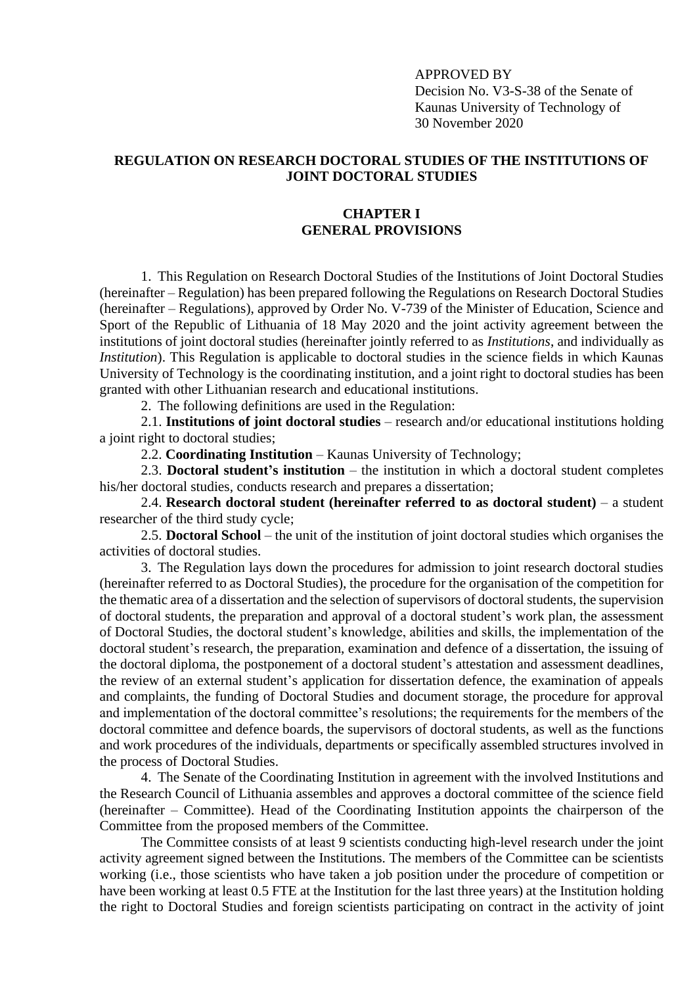APPROVED BY Decision No. V3-S-38 of the Senate of Kaunas University of Technology of 30 November 2020

# **REGULATION ON RESEARCH DOCTORAL STUDIES OF THE INSTITUTIONS OF JOINT DOCTORAL STUDIES**

# **CHAPTER I GENERAL PROVISIONS**

1. This Regulation on Research Doctoral Studies of the Institutions of Joint Doctoral Studies (hereinafter – Regulation) has been prepared following the Regulations on Research Doctoral Studies (hereinafter – Regulations), approved by Order No. V-739 of the Minister of Education, Science and Sport of the Republic of Lithuania of 18 May 2020 and the joint activity agreement between the institutions of joint doctoral studies (hereinafter jointly referred to as *Institutions*, and individually as *Institution*). This Regulation is applicable to doctoral studies in the science fields in which Kaunas University of Technology is the coordinating institution, and a joint right to doctoral studies has been granted with other Lithuanian research and educational institutions.

2. The following definitions are used in the Regulation:

2.1. **Institutions of joint doctoral studies** – research and/or educational institutions holding a joint right to doctoral studies;

2.2. **Coordinating Institution** – Kaunas University of Technology;

2.3. **Doctoral student's institution** – the institution in which a doctoral student completes his/her doctoral studies, conducts research and prepares a dissertation;

2.4. **Research doctoral student (hereinafter referred to as doctoral student)** – a student researcher of the third study cycle;

2.5. **Doctoral School** – the unit of the institution of joint doctoral studies which organises the activities of doctoral studies.

3. The Regulation lays down the procedures for admission to joint research doctoral studies (hereinafter referred to as Doctoral Studies), the procedure for the organisation of the competition for the thematic area of a dissertation and the selection of supervisors of doctoral students, the supervision of doctoral students, the preparation and approval of a doctoral student's work plan, the assessment of Doctoral Studies, the doctoral student's knowledge, abilities and skills, the implementation of the doctoral student's research, the preparation, examination and defence of a dissertation, the issuing of the doctoral diploma, the postponement of a doctoral student's attestation and assessment deadlines, the review of an external student's application for dissertation defence, the examination of appeals and complaints, the funding of Doctoral Studies and document storage, the procedure for approval and implementation of the doctoral committee's resolutions; the requirements for the members of the doctoral committee and defence boards, the supervisors of doctoral students, as well as the functions and work procedures of the individuals, departments or specifically assembled structures involved in the process of Doctoral Studies.

4. The Senate of the Coordinating Institution in agreement with the involved Institutions and the Research Council of Lithuania assembles and approves a doctoral committee of the science field (hereinafter – Committee). Head of the Coordinating Institution appoints the chairperson of the Committee from the proposed members of the Committee.

The Committee consists of at least 9 scientists conducting high-level research under the joint activity agreement signed between the Institutions. The members of the Committee can be scientists working (i.e., those scientists who have taken a job position under the procedure of competition or have been working at least 0.5 FTE at the Institution for the last three years) at the Institution holding the right to Doctoral Studies and foreign scientists participating on contract in the activity of joint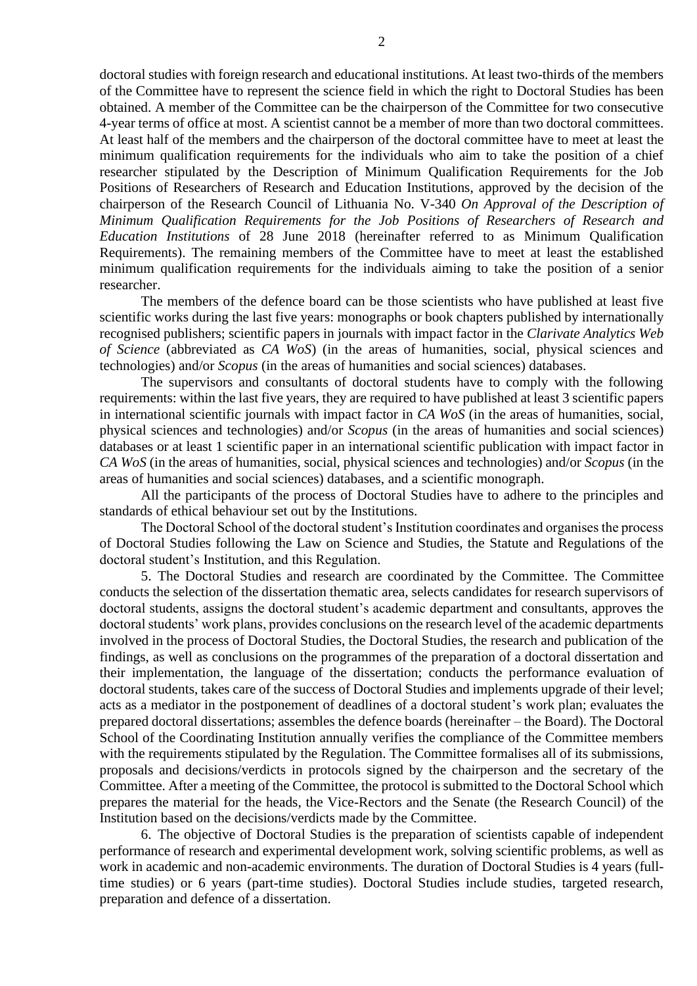doctoral studies with foreign research and educational institutions. At least two-thirds of the members of the Committee have to represent the science field in which the right to Doctoral Studies has been obtained. A member of the Committee can be the chairperson of the Committee for two consecutive 4-year terms of office at most. A scientist cannot be a member of more than two doctoral committees. At least half of the members and the chairperson of the doctoral committee have to meet at least the minimum qualification requirements for the individuals who aim to take the position of a chief researcher stipulated by the Description of Minimum Qualification Requirements for the Job Positions of Researchers of Research and Education Institutions, approved by the decision of the chairperson of the Research Council of Lithuania No. V-340 *On Approval of the Description of Minimum Qualification Requirements for the Job Positions of Researchers of Research and Education Institutions* of 28 June 2018 (hereinafter referred to as Minimum Qualification Requirements). The remaining members of the Committee have to meet at least the established minimum qualification requirements for the individuals aiming to take the position of a senior researcher.

The members of the defence board can be those scientists who have published at least five scientific works during the last five years: monographs or book chapters published by internationally recognised publishers; scientific papers in journals with impact factor in the *Clarivate Analytics Web of Science* (abbreviated as *CA WoS*) (in the areas of humanities, social, physical sciences and technologies) and/or *Scopus* (in the areas of humanities and social sciences) databases.

The supervisors and consultants of doctoral students have to comply with the following requirements: within the last five years, they are required to have published at least 3 scientific papers in international scientific journals with impact factor in *CA WoS* (in the areas of humanities, social, physical sciences and technologies) and/or *Scopus* (in the areas of humanities and social sciences) databases or at least 1 scientific paper in an international scientific publication with impact factor in *CA WoS* (in the areas of humanities, social, physical sciences and technologies) and/or *Scopus* (in the areas of humanities and social sciences) databases, and a scientific monograph.

All the participants of the process of Doctoral Studies have to adhere to the principles and standards of ethical behaviour set out by the Institutions.

The Doctoral School of the doctoral student's Institution coordinates and organises the process of Doctoral Studies following the Law on Science and Studies, the Statute and Regulations of the doctoral student's Institution, and this Regulation.

5. The Doctoral Studies and research are coordinated by the Committee. The Committee conducts the selection of the dissertation thematic area, selects candidates for research supervisors of doctoral students, assigns the doctoral student's academic department and consultants, approves the doctoral students' work plans, provides conclusions on the research level of the academic departments involved in the process of Doctoral Studies, the Doctoral Studies, the research and publication of the findings, as well as conclusions on the programmes of the preparation of a doctoral dissertation and their implementation, the language of the dissertation; conducts the performance evaluation of doctoral students, takes care of the success of Doctoral Studies and implements upgrade of their level; acts as a mediator in the postponement of deadlines of a doctoral student's work plan; evaluates the prepared doctoral dissertations; assembles the defence boards (hereinafter – the Board). The Doctoral School of the Coordinating Institution annually verifies the compliance of the Committee members with the requirements stipulated by the Regulation. The Committee formalises all of its submissions, proposals and decisions/verdicts in protocols signed by the chairperson and the secretary of the Committee. After a meeting of the Committee, the protocol is submitted to the Doctoral School which prepares the material for the heads, the Vice-Rectors and the Senate (the Research Council) of the Institution based on the decisions/verdicts made by the Committee.

6. The objective of Doctoral Studies is the preparation of scientists capable of independent performance of research and experimental development work, solving scientific problems, as well as work in academic and non-academic environments. The duration of Doctoral Studies is 4 years (fulltime studies) or 6 years (part-time studies). Doctoral Studies include studies, targeted research, preparation and defence of a dissertation.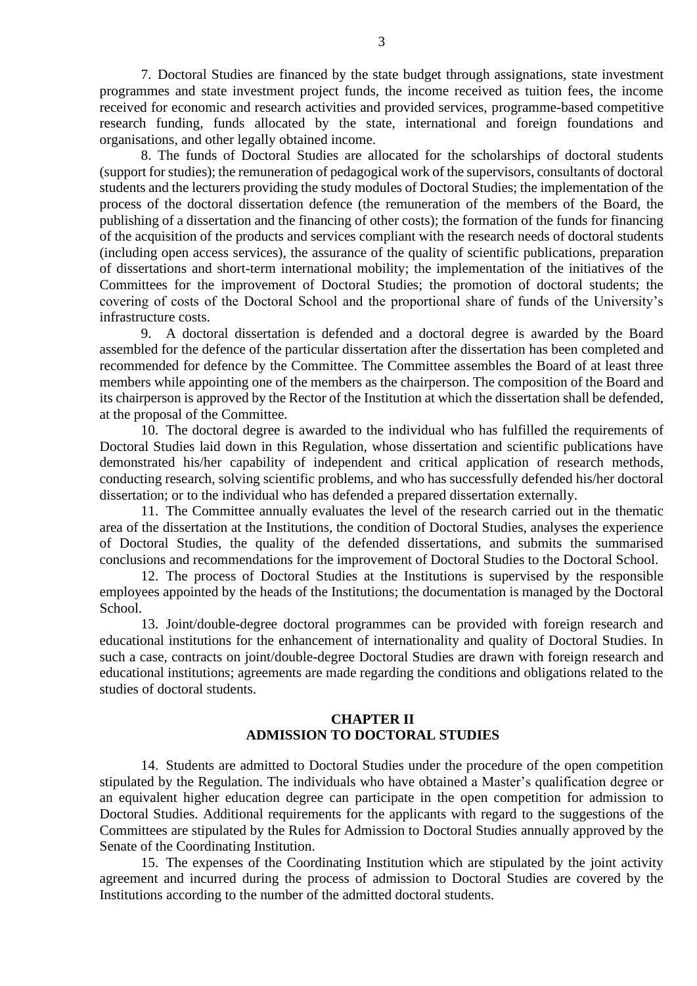7. Doctoral Studies are financed by the state budget through assignations, state investment programmes and state investment project funds, the income received as tuition fees, the income received for economic and research activities and provided services, programme-based competitive research funding, funds allocated by the state, international and foreign foundations and organisations, and other legally obtained income.

8. The funds of Doctoral Studies are allocated for the scholarships of doctoral students (support for studies); the remuneration of pedagogical work of the supervisors, consultants of doctoral students and the lecturers providing the study modules of Doctoral Studies; the implementation of the process of the doctoral dissertation defence (the remuneration of the members of the Board, the publishing of a dissertation and the financing of other costs); the formation of the funds for financing of the acquisition of the products and services compliant with the research needs of doctoral students (including open access services), the assurance of the quality of scientific publications, preparation of dissertations and short-term international mobility; the implementation of the initiatives of the Committees for the improvement of Doctoral Studies; the promotion of doctoral students; the covering of costs of the Doctoral School and the proportional share of funds of the University's infrastructure costs.

9. A doctoral dissertation is defended and a doctoral degree is awarded by the Board assembled for the defence of the particular dissertation after the dissertation has been completed and recommended for defence by the Committee. The Committee assembles the Board of at least three members while appointing one of the members as the chairperson. The composition of the Board and its chairperson is approved by the Rector of the Institution at which the dissertation shall be defended, at the proposal of the Committee.

10. The doctoral degree is awarded to the individual who has fulfilled the requirements of Doctoral Studies laid down in this Regulation, whose dissertation and scientific publications have demonstrated his/her capability of independent and critical application of research methods, conducting research, solving scientific problems, and who has successfully defended his/her doctoral dissertation; or to the individual who has defended a prepared dissertation externally.

11. The Committee annually evaluates the level of the research carried out in the thematic area of the dissertation at the Institutions, the condition of Doctoral Studies, analyses the experience of Doctoral Studies, the quality of the defended dissertations, and submits the summarised conclusions and recommendations for the improvement of Doctoral Studies to the Doctoral School.

12. The process of Doctoral Studies at the Institutions is supervised by the responsible employees appointed by the heads of the Institutions; the documentation is managed by the Doctoral School.

13. Joint/double-degree doctoral programmes can be provided with foreign research and educational institutions for the enhancement of internationality and quality of Doctoral Studies. In such a case, contracts on joint/double-degree Doctoral Studies are drawn with foreign research and educational institutions; agreements are made regarding the conditions and obligations related to the studies of doctoral students.

# **CHAPTER II ADMISSION TO DOCTORAL STUDIES**

<span id="page-2-0"></span>14. Students are admitted to Doctoral Studies under the procedure of the open competition stipulated by the Regulation. The individuals who have obtained a Master's qualification degree or an equivalent higher education degree can participate in the open competition for admission to Doctoral Studies. Additional requirements for the applicants with regard to the suggestions of the Committees are stipulated by the Rules for Admission to Doctoral Studies annually approved by the Senate of the Coordinating Institution.

15. The expenses of the Coordinating Institution which are stipulated by the joint activity agreement and incurred during the process of admission to Doctoral Studies are covered by the Institutions according to the number of the admitted doctoral students.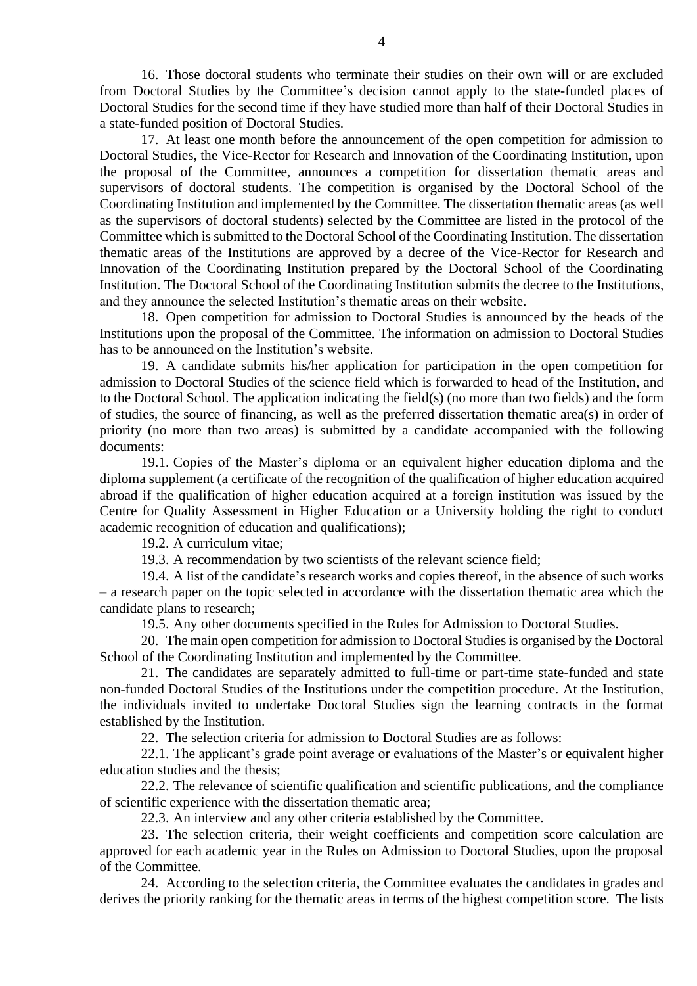16. Those doctoral students who terminate their studies on their own will or are excluded from Doctoral Studies by the Committee's decision cannot apply to the state-funded places of Doctoral Studies for the second time if they have studied more than half of their Doctoral Studies in a state-funded position of Doctoral Studies.

17. At least one month before the announcement of the open competition for admission to Doctoral Studies, the Vice-Rector for Research and Innovation of the Coordinating Institution, upon the proposal of the Committee, announces a competition for dissertation thematic areas and supervisors of doctoral students. The competition is organised by the Doctoral School of the Coordinating Institution and implemented by the Committee. The dissertation thematic areas (as well as the supervisors of doctoral students) selected by the Committee are listed in the protocol of the Committee which is submitted to the Doctoral School of the Coordinating Institution. The dissertation thematic areas of the Institutions are approved by a decree of the Vice-Rector for Research and Innovation of the Coordinating Institution prepared by the Doctoral School of the Coordinating Institution. The Doctoral School of the Coordinating Institution submits the decree to the Institutions, and they announce the selected Institution's thematic areas on their website.

18. Open competition for admission to Doctoral Studies is announced by the heads of the Institutions upon the proposal of the Committee. The information on admission to Doctoral Studies has to be announced on the Institution's website.

19. A candidate submits his/her application for participation in the open competition for admission to Doctoral Studies of the science field which is forwarded to head of the Institution, and to the Doctoral School. The application indicating the field(s) (no more than two fields) and the form of studies, the source of financing, as well as the preferred dissertation thematic area(s) in order of priority (no more than two areas) is submitted by a candidate accompanied with the following documents:

19.1. Copies of the Master's diploma or an equivalent higher education diploma and the diploma supplement (a certificate of the recognition of the qualification of higher education acquired abroad if the qualification of higher education acquired at a foreign institution was issued by the Centre for Quality Assessment in Higher Education or a University holding the right to conduct academic recognition of education and qualifications);

19.2. A curriculum vitae;

19.3. A recommendation by two scientists of the relevant science field;

19.4. A list of the candidate's research works and copies thereof, in the absence of such works – a research paper on the topic selected in accordance with the dissertation thematic area which the candidate plans to research;

19.5. Any other documents specified in the Rules for Admission to Doctoral Studies.

20. The main open competition for admission to Doctoral Studies is organised by the Doctoral School of the Coordinating Institution and implemented by the Committee.

21. The candidates are separately admitted to full-time or part-time state-funded and state non-funded Doctoral Studies of the Institutions under the competition procedure. At the Institution, the individuals invited to undertake Doctoral Studies sign the learning contracts in the format established by the Institution.

22. The selection criteria for admission to Doctoral Studies are as follows:

22.1. The applicant's grade point average or evaluations of the Master's or equivalent higher education studies and the thesis;

22.2. The relevance of scientific qualification and scientific publications, and the compliance of scientific experience with the dissertation thematic area;

22.3. An interview and any other criteria established by the Committee.

23. The selection criteria, their weight coefficients and competition score calculation are approved for each academic year in the Rules on Admission to Doctoral Studies, upon the proposal of the Committee.

24. According to the selection criteria, the Committee evaluates the candidates in grades and derives the priority ranking for the thematic areas in terms of the highest competition score. The lists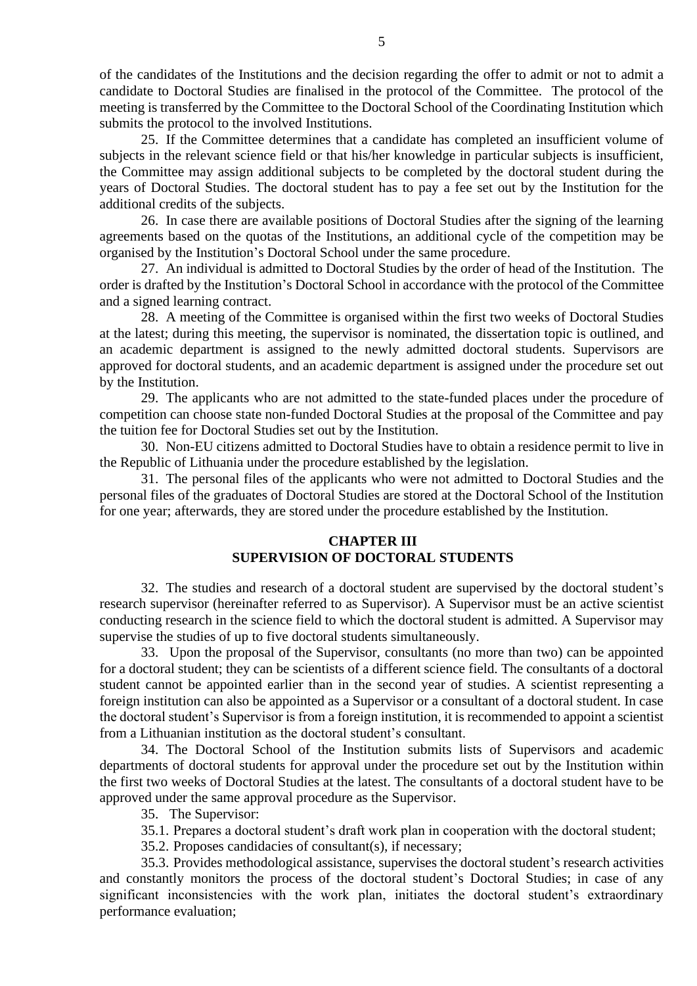of the candidates of the Institutions and the decision regarding the offer to admit or not to admit a candidate to Doctoral Studies are finalised in the protocol of the Committee. The protocol of the meeting is transferred by the Committee to the Doctoral School of the Coordinating Institution which submits the protocol to the involved Institutions.

25. If the Committee determines that a candidate has completed an insufficient volume of subjects in the relevant science field or that his/her knowledge in particular subjects is insufficient, the Committee may assign additional subjects to be completed by the doctoral student during the years of Doctoral Studies. The doctoral student has to pay a fee set out by the Institution for the additional credits of the subjects.

26. In case there are available positions of Doctoral Studies after the signing of the learning agreements based on the quotas of the Institutions, an additional cycle of the competition may be organised by the Institution's Doctoral School under the same procedure.

27. An individual is admitted to Doctoral Studies by the order of head of the Institution. The order is drafted by the Institution's Doctoral School in accordance with the protocol of the Committee and a signed learning contract.

28. A meeting of the Committee is organised within the first two weeks of Doctoral Studies at the latest; during this meeting, the supervisor is nominated, the dissertation topic is outlined, and an academic department is assigned to the newly admitted doctoral students. Supervisors are approved for doctoral students, and an academic department is assigned under the procedure set out by the Institution.

29. The applicants who are not admitted to the state-funded places under the procedure of competition can choose state non-funded Doctoral Studies at the proposal of the Committee and pay the tuition fee for Doctoral Studies set out by the Institution.

30. Non-EU citizens admitted to Doctoral Studies have to obtain a residence permit to live in the Republic of Lithuania under the procedure established by the legislation.

31. The personal files of the applicants who were not admitted to Doctoral Studies and the personal files of the graduates of Doctoral Studies are stored at the Doctoral School of the Institution for one year; afterwards, they are stored under the procedure established by the Institution.

# **CHAPTER III SUPERVISION OF DOCTORAL STUDENTS**

32. The studies and research of a doctoral student are supervised by the doctoral student's research supervisor (hereinafter referred to as Supervisor). A Supervisor must be an active scientist conducting research in the science field to which the doctoral student is admitted. A Supervisor may supervise the studies of up to five doctoral students simultaneously.

33. Upon the proposal of the Supervisor, consultants (no more than two) can be appointed for a doctoral student; they can be scientists of a different science field. The consultants of a doctoral student cannot be appointed earlier than in the second year of studies. A scientist representing a foreign institution can also be appointed as a Supervisor or a consultant of a doctoral student. In case the doctoral student's Supervisor is from a foreign institution, it is recommended to appoint a scientist from a Lithuanian institution as the doctoral student's consultant.

34. The Doctoral School of the Institution submits lists of Supervisors and academic departments of doctoral students for approval under the procedure set out by the Institution within the first two weeks of Doctoral Studies at the latest. The consultants of a doctoral student have to be approved under the same approval procedure as the Supervisor.

35. The Supervisor:

35.1. Prepares a doctoral student's draft work plan in cooperation with the doctoral student;

35.2. Proposes candidacies of consultant(s), if necessary;

35.3. Provides methodological assistance, supervises the doctoral student's research activities and constantly monitors the process of the doctoral student's Doctoral Studies; in case of any significant inconsistencies with the work plan, initiates the doctoral student's extraordinary performance evaluation;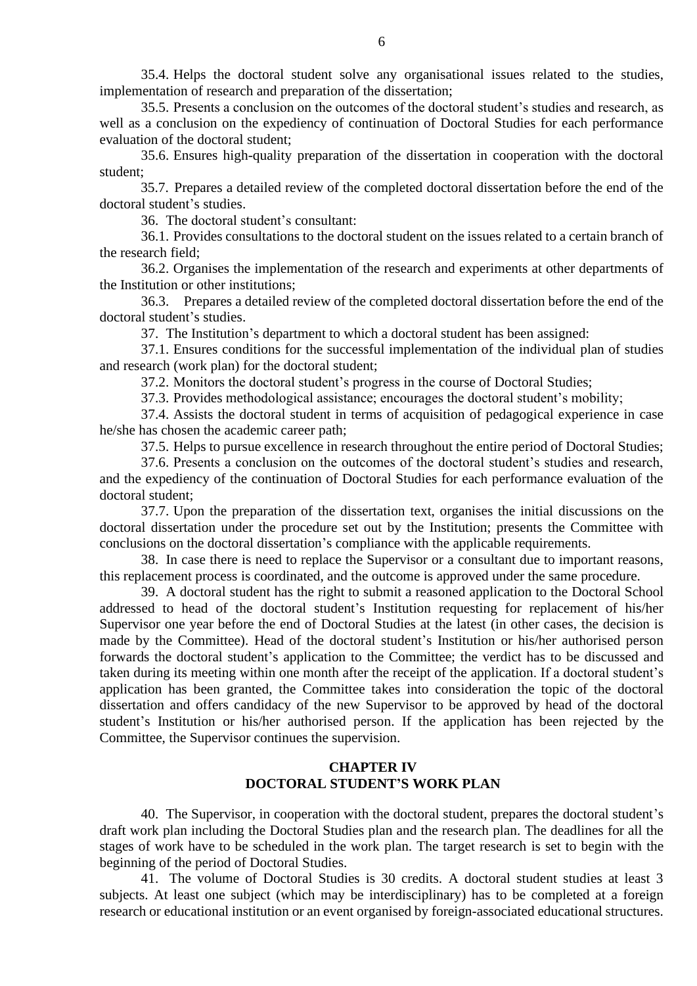35.4. Helps the doctoral student solve any organisational issues related to the studies, implementation of research and preparation of the dissertation;

35.5. Presents a conclusion on the outcomes of the doctoral student's studies and research, as well as a conclusion on the expediency of continuation of Doctoral Studies for each performance evaluation of the doctoral student;

35.6. Ensures high-quality preparation of the dissertation in cooperation with the doctoral student;

35.7. Prepares a detailed review of the completed doctoral dissertation before the end of the doctoral student's studies.

36. The doctoral student's consultant:

36.1. Provides consultations to the doctoral student on the issues related to a certain branch of the research field;

36.2. Organises the implementation of the research and experiments at other departments of the Institution or other institutions;

36.3. Prepares a detailed review of the completed doctoral dissertation before the end of the doctoral student's studies.

37. The Institution's department to which a doctoral student has been assigned:

37.1. Ensures conditions for the successful implementation of the individual plan of studies and research (work plan) for the doctoral student;

37.2. Monitors the doctoral student's progress in the course of Doctoral Studies;

37.3. Provides methodological assistance; encourages the doctoral student's mobility;

37.4. Assists the doctoral student in terms of acquisition of pedagogical experience in case he/she has chosen the academic career path;

37.5. Helps to pursue excellence in research throughout the entire period of Doctoral Studies;

37.6. Presents a conclusion on the outcomes of the doctoral student's studies and research, and the expediency of the continuation of Doctoral Studies for each performance evaluation of the doctoral student;

37.7. Upon the preparation of the dissertation text, organises the initial discussions on the doctoral dissertation under the procedure set out by the Institution; presents the Committee with conclusions on the doctoral dissertation's compliance with the applicable requirements.

38. In case there is need to replace the Supervisor or a consultant due to important reasons, this replacement process is coordinated, and the outcome is approved under the same procedure.

39. A doctoral student has the right to submit a reasoned application to the Doctoral School addressed to head of the doctoral student's Institution requesting for replacement of his/her Supervisor one year before the end of Doctoral Studies at the latest (in other cases, the decision is made by the Committee). Head of the doctoral student's Institution or his/her authorised person forwards the doctoral student's application to the Committee; the verdict has to be discussed and taken during its meeting within one month after the receipt of the application. If a doctoral student's application has been granted, the Committee takes into consideration the topic of the doctoral dissertation and offers candidacy of the new Supervisor to be approved by head of the doctoral student's Institution or his/her authorised person. If the application has been rejected by the Committee, the Supervisor continues the supervision.

# **CHAPTER IV DOCTORAL STUDENT'S WORK PLAN**

40. The Supervisor, in cooperation with the doctoral student, prepares the doctoral student's draft work plan including the Doctoral Studies plan and the research plan. The deadlines for all the stages of work have to be scheduled in the work plan. The target research is set to begin with the beginning of the period of Doctoral Studies.

41. The volume of Doctoral Studies is 30 credits. A doctoral student studies at least 3 subjects. At least one subject (which may be interdisciplinary) has to be completed at a foreign research or educational institution or an event organised by foreign-associated educational structures.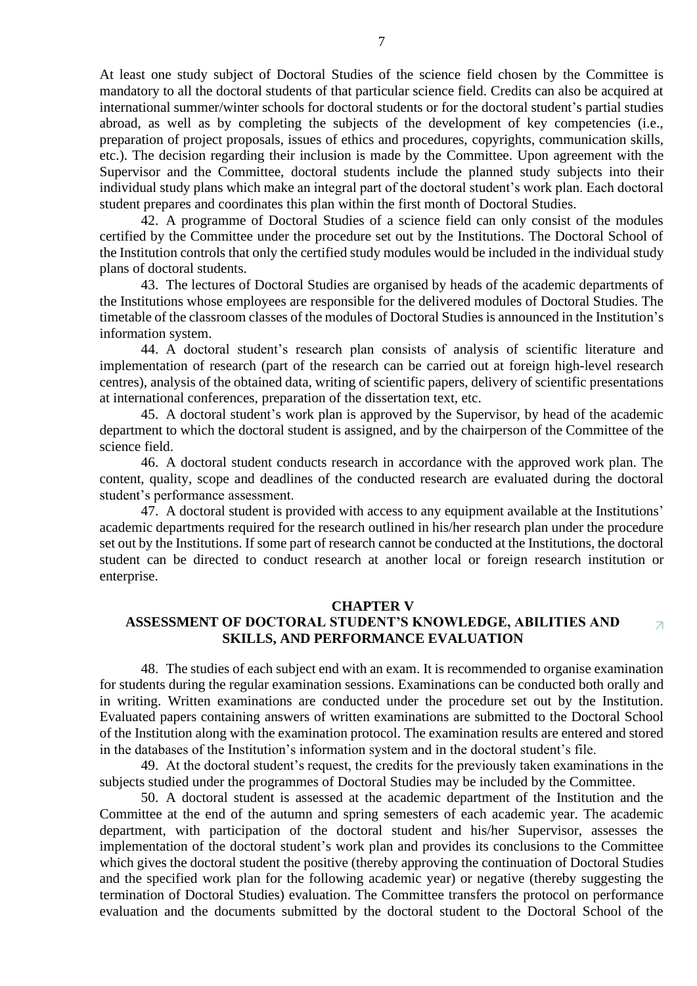At least one study subject of Doctoral Studies of the science field chosen by the Committee is mandatory to all the doctoral students of that particular science field. Credits can also be acquired at international summer/winter schools for doctoral students or for the doctoral student's partial studies abroad, as well as by completing the subjects of the development of key competencies (i.e., preparation of project proposals, issues of ethics and procedures, copyrights, communication skills, etc.). The decision regarding their inclusion is made by the Committee. Upon agreement with the Supervisor and the Committee, doctoral students include the planned study subjects into their individual study plans which make an integral part of the doctoral student's work plan. Each doctoral student prepares and coordinates this plan within the first month of Doctoral Studies.

42. A programme of Doctoral Studies of a science field can only consist of the modules certified by the Committee under the procedure set out by the Institutions. The Doctoral School of the Institution controls that only the certified study modules would be included in the individual study plans of doctoral students.

43. The lectures of Doctoral Studies are organised by heads of the academic departments of the Institutions whose employees are responsible for the delivered modules of Doctoral Studies. The timetable of the classroom classes of the modules of Doctoral Studies is announced in the Institution's information system.

44. A doctoral student's research plan consists of analysis of scientific literature and implementation of research (part of the research can be carried out at foreign high-level research centres), analysis of the obtained data, writing of scientific papers, delivery of scientific presentations at international conferences, preparation of the dissertation text, etc.

45. A doctoral student's work plan is approved by the Supervisor, by head of the academic department to which the doctoral student is assigned, and by the chairperson of the Committee of the science field.

46. A doctoral student conducts research in accordance with the approved work plan. The content, quality, scope and deadlines of the conducted research are evaluated during the doctoral student's performance assessment.

47. A doctoral student is provided with access to any equipment available at the Institutions' academic departments required for the research outlined in his/her research plan under the procedure set out by the Institutions. If some part of research cannot be conducted at the Institutions, the doctoral student can be directed to conduct research at another local or foreign research institution or enterprise.

#### **CHAPTER V**

#### **ASSESSMENT OF DOCTORAL STUDENT'S KNOWLEDGE, ABILITIES AND**  Z. **SKILLS, AND PERFORMANCE EVALUATION**

48. The studies of each subject end with an exam. It is recommended to organise examination for students during the regular examination sessions. Examinations can be conducted both orally and in writing. Written examinations are conducted under the procedure set out by the Institution. Evaluated papers containing answers of written examinations are submitted to the Doctoral School of the Institution along with the examination protocol. The examination results are entered and stored in the databases of the Institution's information system and in the doctoral student's file.

49. At the doctoral student's request, the credits for the previously taken examinations in the subjects studied under the programmes of Doctoral Studies may be included by the Committee.

50. A doctoral student is assessed at the academic department of the Institution and the Committee at the end of the autumn and spring semesters of each academic year. The academic department, with participation of the doctoral student and his/her Supervisor, assesses the implementation of the doctoral student's work plan and provides its conclusions to the Committee which gives the doctoral student the positive (thereby approving the continuation of Doctoral Studies and the specified work plan for the following academic year) or negative (thereby suggesting the termination of Doctoral Studies) evaluation. The Committee transfers the protocol on performance evaluation and the documents submitted by the doctoral student to the Doctoral School of the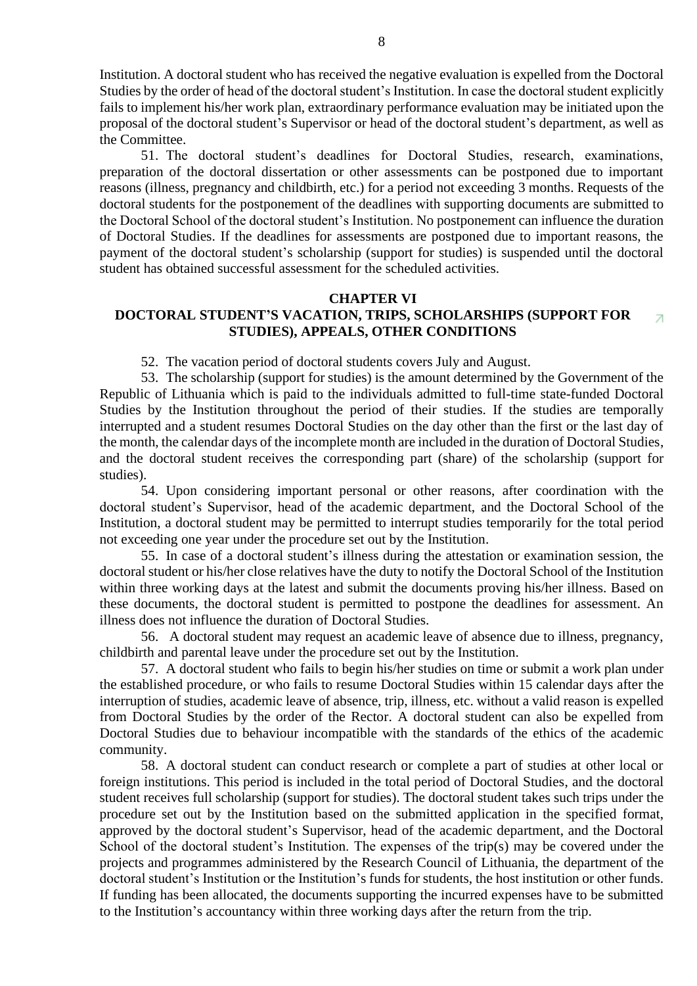Institution. A doctoral student who has received the negative evaluation is expelled from the Doctoral Studies by the order of head of the doctoral student's Institution. In case the doctoral student explicitly fails to implement his/her work plan, extraordinary performance evaluation may be initiated upon the proposal of the doctoral student's Supervisor or head of the doctoral student's department, as well as the Committee.

51. The doctoral student's deadlines for Doctoral Studies, research, examinations, preparation of the doctoral dissertation or other assessments can be postponed due to important reasons (illness, pregnancy and childbirth, etc.) for a period not exceeding 3 months. Requests of the doctoral students for the postponement of the deadlines with supporting documents are submitted to the Doctoral School of the doctoral student's Institution. No postponement can influence the duration of Doctoral Studies. If the deadlines for assessments are postponed due to important reasons, the payment of the doctoral student's scholarship (support for studies) is suspended until the doctoral student has obtained successful assessment for the scheduled activities.

#### **CHAPTER VI**

#### **DOCTORAL STUDENT'S VACATION, TRIPS, SCHOLARSHIPS (SUPPORT FOR**   $\overline{\mathcal{A}}$ **STUDIES), APPEALS, OTHER CONDITIONS**

52. The vacation period of doctoral students covers July and August.

53. The scholarship (support for studies) is the amount determined by the Government of the Republic of Lithuania which is paid to the individuals admitted to full-time state-funded Doctoral Studies by the Institution throughout the period of their studies. If the studies are temporally interrupted and a student resumes Doctoral Studies on the day other than the first or the last day of the month, the calendar days of the incomplete month are included in the duration of Doctoral Studies, and the doctoral student receives the corresponding part (share) of the scholarship (support for studies).

54. Upon considering important personal or other reasons, after coordination with the doctoral student's Supervisor, head of the academic department, and the Doctoral School of the Institution, a doctoral student may be permitted to interrupt studies temporarily for the total period not exceeding one year under the procedure set out by the Institution.

55. In case of a doctoral student's illness during the attestation or examination session, the doctoral student or his/her close relatives have the duty to notify the Doctoral School of the Institution within three working days at the latest and submit the documents proving his/her illness. Based on these documents, the doctoral student is permitted to postpone the deadlines for assessment. An illness does not influence the duration of Doctoral Studies.

56. A doctoral student may request an academic leave of absence due to illness, pregnancy, childbirth and parental leave under the procedure set out by the Institution.

57. A doctoral student who fails to begin his/her studies on time or submit a work plan under the established procedure, or who fails to resume Doctoral Studies within 15 calendar days after the interruption of studies, academic leave of absence, trip, illness, etc. without a valid reason is expelled from Doctoral Studies by the order of the Rector. A doctoral student can also be expelled from Doctoral Studies due to behaviour incompatible with the standards of the ethics of the academic community.

58. A doctoral student can conduct research or complete a part of studies at other local or foreign institutions. This period is included in the total period of Doctoral Studies, and the doctoral student receives full scholarship (support for studies). The doctoral student takes such trips under the procedure set out by the Institution based on the submitted application in the specified format, approved by the doctoral student's Supervisor, head of the academic department, and the Doctoral School of the doctoral student's Institution. The expenses of the trip(s) may be covered under the projects and programmes administered by the Research Council of Lithuania, the department of the doctoral student's Institution or the Institution's funds for students, the host institution or other funds. If funding has been allocated, the documents supporting the incurred expenses have to be submitted to the Institution's accountancy within three working days after the return from the trip.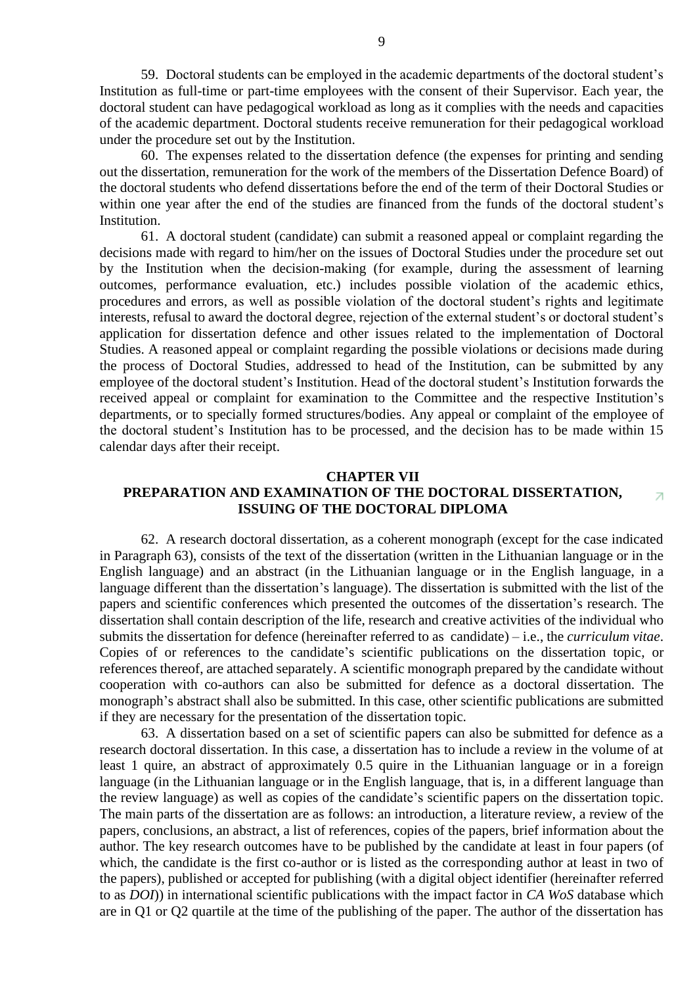59. Doctoral students can be employed in the academic departments of the doctoral student's Institution as full-time or part-time employees with the consent of their Supervisor. Each year, the doctoral student can have pedagogical workload as long as it complies with the needs and capacities of the academic department. Doctoral students receive remuneration for their pedagogical workload under the procedure set out by the Institution.

60. The expenses related to the dissertation defence (the expenses for printing and sending out the dissertation, remuneration for the work of the members of the Dissertation Defence Board) of the doctoral students who defend dissertations before the end of the term of their Doctoral Studies or within one year after the end of the studies are financed from the funds of the doctoral student's Institution.

61. A doctoral student (candidate) can submit a reasoned appeal or complaint regarding the decisions made with regard to him/her on the issues of Doctoral Studies under the procedure set out by the Institution when the decision-making (for example, during the assessment of learning outcomes, performance evaluation, etc.) includes possible violation of the academic ethics, procedures and errors, as well as possible violation of the doctoral student's rights and legitimate interests, refusal to award the doctoral degree, rejection of the external student's or doctoral student's application for dissertation defence and other issues related to the implementation of Doctoral Studies. A reasoned appeal or complaint regarding the possible violations or decisions made during the process of Doctoral Studies, addressed to head of the Institution, can be submitted by any employee of the doctoral student's Institution. Head of the doctoral student's Institution forwards the received appeal or complaint for examination to the Committee and the respective Institution's departments, or to specially formed structures/bodies. Any appeal or complaint of the employee of the doctoral student's Institution has to be processed, and the decision has to be made within 15 calendar days after their receipt.

### **CHAPTER VII**

#### **PREPARATION AND EXAMINATION OF THE DOCTORAL DISSERTATION,**   $\overline{\mathcal{A}}$ **ISSUING OF THE DOCTORAL DIPLOMA**

62. A research doctoral dissertation, as a coherent monograph (except for the case indicated in Paragraph 63), consists of the text of the dissertation (written in the Lithuanian language or in the English language) and an abstract (in the Lithuanian language or in the English language, in a language different than the dissertation's language). The dissertation is submitted with the list of the papers and scientific conferences which presented the outcomes of the dissertation's research. The dissertation shall contain description of the life, research and creative activities of the individual who submits the dissertation for defence (hereinafter referred to as candidate) – i.e., the *curriculum vitae*. Copies of or references to the candidate's scientific publications on the dissertation topic, or references thereof, are attached separately. A scientific monograph prepared by the candidate without cooperation with co-authors can also be submitted for defence as a doctoral dissertation. The monograph's abstract shall also be submitted. In this case, other scientific publications are submitted if they are necessary for the presentation of the dissertation topic.

63. A dissertation based on a set of scientific papers can also be submitted for defence as a research doctoral dissertation. In this case, a dissertation has to include a review in the volume of at least 1 quire, an abstract of approximately 0.5 quire in the Lithuanian language or in a foreign language (in the Lithuanian language or in the English language, that is, in a different language than the review language) as well as copies of the candidate's scientific papers on the dissertation topic. The main parts of the dissertation are as follows: an introduction, a literature review, a review of the papers, conclusions, an abstract, a list of references, copies of the papers, brief information about the author. The key research outcomes have to be published by the candidate at least in four papers (of which, the candidate is the first co-author or is listed as the corresponding author at least in two of the papers), published or accepted for publishing (with a digital object identifier (hereinafter referred to as *DOI*)) in international scientific publications with the impact factor in *CA WoS* database which are in Q1 or Q2 quartile at the time of the publishing of the paper. The author of the dissertation has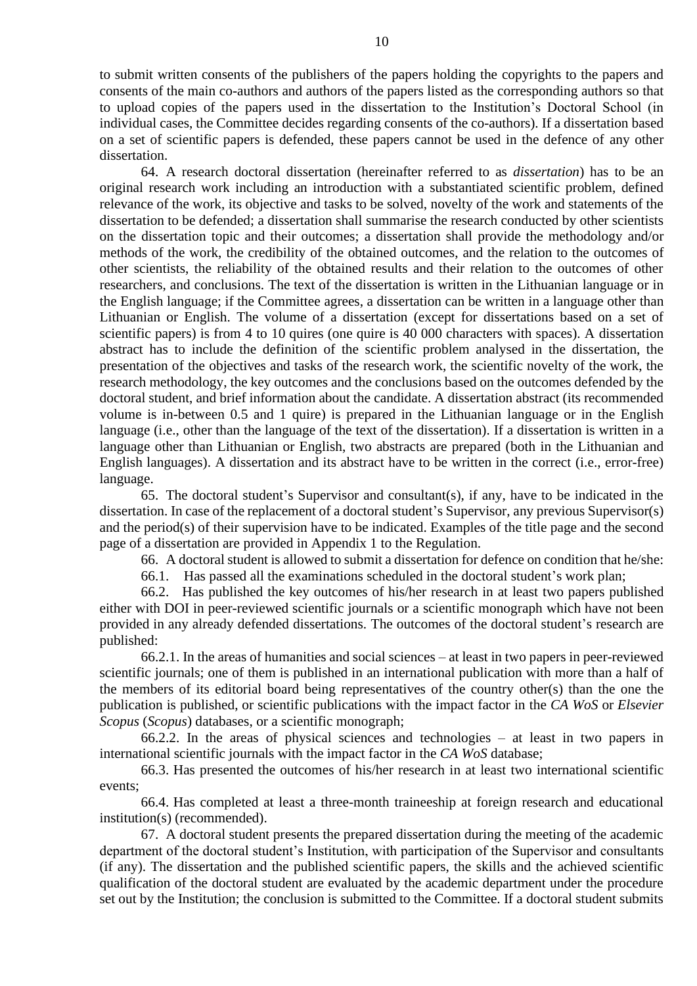to submit written consents of the publishers of the papers holding the copyrights to the papers and consents of the main co-authors and authors of the papers listed as the corresponding authors so that to upload copies of the papers used in the dissertation to the Institution's Doctoral School (in individual cases, the Committee decides regarding consents of the co-authors). If a dissertation based on a set of scientific papers is defended, these papers cannot be used in the defence of any other dissertation.

64. A research doctoral dissertation (hereinafter referred to as *dissertation*) has to be an original research work including an introduction with a substantiated scientific problem, defined relevance of the work, its objective and tasks to be solved, novelty of the work and statements of the dissertation to be defended; a dissertation shall summarise the research conducted by other scientists on the dissertation topic and their outcomes; a dissertation shall provide the methodology and/or methods of the work, the credibility of the obtained outcomes, and the relation to the outcomes of other scientists, the reliability of the obtained results and their relation to the outcomes of other researchers, and conclusions. The text of the dissertation is written in the Lithuanian language or in the English language; if the Committee agrees, a dissertation can be written in a language other than Lithuanian or English. The volume of a dissertation (except for dissertations based on a set of scientific papers) is from 4 to 10 quires (one quire is 40 000 characters with spaces). A dissertation abstract has to include the definition of the scientific problem analysed in the dissertation, the presentation of the objectives and tasks of the research work, the scientific novelty of the work, the research methodology, the key outcomes and the conclusions based on the outcomes defended by the doctoral student, and brief information about the candidate. A dissertation abstract (its recommended volume is in-between 0.5 and 1 quire) is prepared in the Lithuanian language or in the English language (i.e., other than the language of the text of the dissertation). If a dissertation is written in a language other than Lithuanian or English, two abstracts are prepared (both in the Lithuanian and English languages). A dissertation and its abstract have to be written in the correct (i.e., error-free) language.

65. The doctoral student's Supervisor and consultant(s), if any, have to be indicated in the dissertation. In case of the replacement of a doctoral student's Supervisor, any previous Supervisor(s) and the period(s) of their supervision have to be indicated. Examples of the title page and the second page of a dissertation are provided in Appendix 1 to the Regulation.

66. A doctoral student is allowed to submit a dissertation for defence on condition that he/she:

66.1. Has passed all the examinations scheduled in the doctoral student's work plan;

66.2. Has published the key outcomes of his/her research in at least two papers published either with DOI in peer-reviewed scientific journals or a scientific monograph which have not been provided in any already defended dissertations. The outcomes of the doctoral student's research are published:

66.2.1. In the areas of humanities and social sciences – at least in two papers in peer-reviewed scientific journals; one of them is published in an international publication with more than a half of the members of its editorial board being representatives of the country other(s) than the one the publication is published, or scientific publications with the impact factor in the *CA WoS* or *Elsevier Scopus* (*Scopus*) databases, or a scientific monograph;

66.2.2. In the areas of physical sciences and technologies – at least in two papers in international scientific journals with the impact factor in the *CA WoS* database;

66.3. Has presented the outcomes of his/her research in at least two international scientific events;

66.4. Has completed at least a three-month traineeship at foreign research and educational institution(s) (recommended).

67. A doctoral student presents the prepared dissertation during the meeting of the academic department of the doctoral student's Institution, with participation of the Supervisor and consultants (if any). The dissertation and the published scientific papers, the skills and the achieved scientific qualification of the doctoral student are evaluated by the academic department under the procedure set out by the Institution; the conclusion is submitted to the Committee. If a doctoral student submits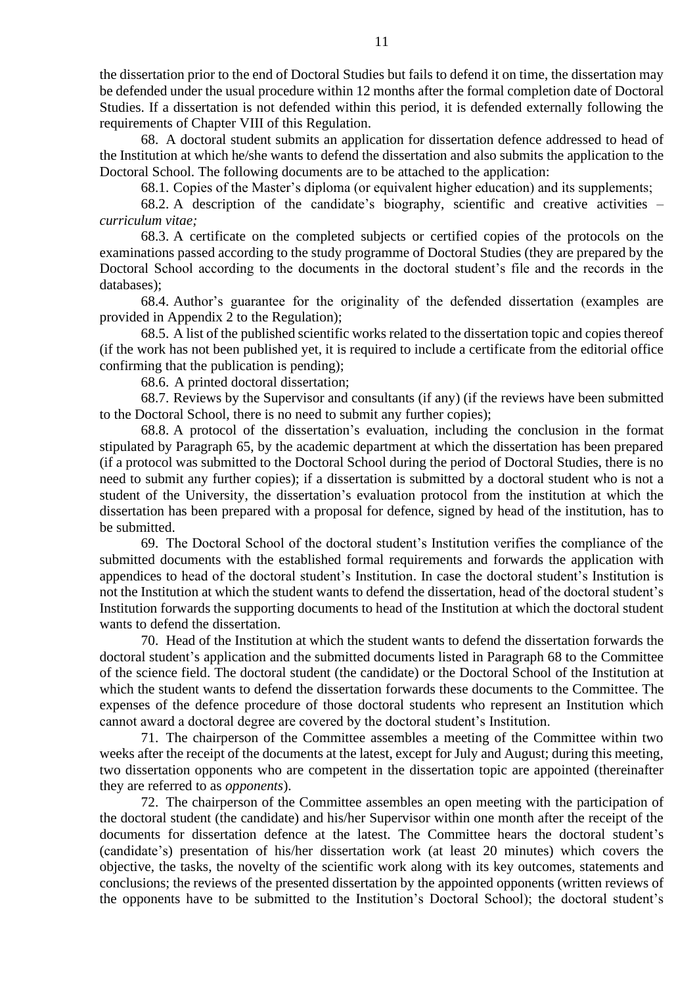the dissertation prior to the end of Doctoral Studies but fails to defend it on time, the dissertation may be defended under the usual procedure within 12 months after the formal completion date of Doctoral Studies. If a dissertation is not defended within this period, it is defended externally following the requirements of Chapter VIII of this Regulation.

68. A doctoral student submits an application for dissertation defence addressed to head of the Institution at which he/she wants to defend the dissertation and also submits the application to the Doctoral School. The following documents are to be attached to the application:

68.1. Copies of the Master's diploma (or equivalent higher education) and its supplements;

68.2. A description of the candidate's biography, scientific and creative activities – *curriculum vitae;*

68.3. A certificate on the completed subjects or certified copies of the protocols on the examinations passed according to the study programme of Doctoral Studies (they are prepared by the Doctoral School according to the documents in the doctoral student's file and the records in the databases);

68.4. Author's guarantee for the originality of the defended dissertation (examples are provided in Appendix 2 to the Regulation);

68.5. A list of the published scientific works related to the dissertation topic and copies thereof (if the work has not been published yet, it is required to include a certificate from the editorial office confirming that the publication is pending);

68.6. A printed doctoral dissertation;

68.7. Reviews by the Supervisor and consultants (if any) (if the reviews have been submitted to the Doctoral School, there is no need to submit any further copies);

68.8. A protocol of the dissertation's evaluation, including the conclusion in the format stipulated by Paragraph 65, by the academic department at which the dissertation has been prepared (if a protocol was submitted to the Doctoral School during the period of Doctoral Studies, there is no need to submit any further copies); if a dissertation is submitted by a doctoral student who is not a student of the University, the dissertation's evaluation protocol from the institution at which the dissertation has been prepared with a proposal for defence, signed by head of the institution, has to be submitted.

69. The Doctoral School of the doctoral student's Institution verifies the compliance of the submitted documents with the established formal requirements and forwards the application with appendices to head of the doctoral student's Institution. In case the doctoral student's Institution is not the Institution at which the student wants to defend the dissertation, head of the doctoral student's Institution forwards the supporting documents to head of the Institution at which the doctoral student wants to defend the dissertation.

70. Head of the Institution at which the student wants to defend the dissertation forwards the doctoral student's application and the submitted documents listed in Paragraph 68 to the Committee of the science field. The doctoral student (the candidate) or the Doctoral School of the Institution at which the student wants to defend the dissertation forwards these documents to the Committee. The expenses of the defence procedure of those doctoral students who represent an Institution which cannot award a doctoral degree are covered by the doctoral student's Institution.

71. The chairperson of the Committee assembles a meeting of the Committee within two weeks after the receipt of the documents at the latest, except for July and August; during this meeting, two dissertation opponents who are competent in the dissertation topic are appointed (thereinafter they are referred to as *opponents*).

72. The chairperson of the Committee assembles an open meeting with the participation of the doctoral student (the candidate) and his/her Supervisor within one month after the receipt of the documents for dissertation defence at the latest. The Committee hears the doctoral student's (candidate's) presentation of his/her dissertation work (at least 20 minutes) which covers the objective, the tasks, the novelty of the scientific work along with its key outcomes, statements and conclusions; the reviews of the presented dissertation by the appointed opponents (written reviews of the opponents have to be submitted to the Institution's Doctoral School); the doctoral student's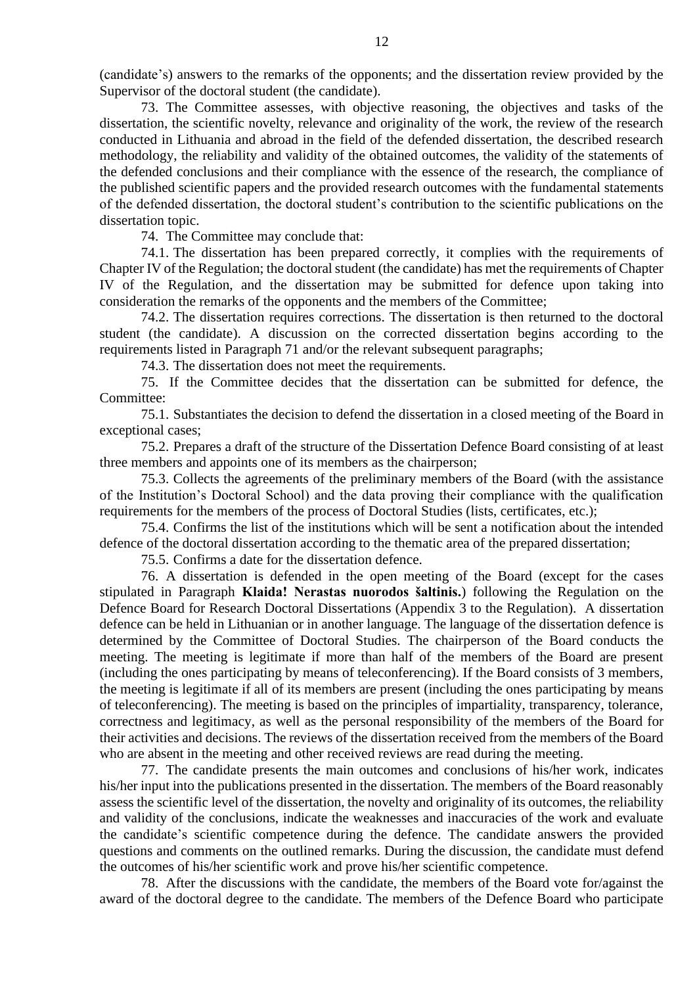(candidate's) answers to the remarks of the opponents; and the dissertation review provided by the Supervisor of the doctoral student (the candidate).

73. The Committee assesses, with objective reasoning, the objectives and tasks of the dissertation, the scientific novelty, relevance and originality of the work, the review of the research conducted in Lithuania and abroad in the field of the defended dissertation, the described research methodology, the reliability and validity of the obtained outcomes, the validity of the statements of the defended conclusions and their compliance with the essence of the research, the compliance of the published scientific papers and the provided research outcomes with the fundamental statements of the defended dissertation, the doctoral student's contribution to the scientific publications on the dissertation topic.

74. The Committee may conclude that:

74.1. The dissertation has been prepared correctly, it complies with the requirements of Chapter IV of the Regulation; the doctoral student (the candidate) has met the requirements of Chapter IV of the Regulation, and the dissertation may be submitted for defence upon taking into consideration the remarks of the opponents and the members of the Committee;

74.2. The dissertation requires corrections. The dissertation is then returned to the doctoral student (the candidate). A discussion on the corrected dissertation begins according to the requirements listed in Paragraph 71 and/or the relevant subsequent paragraphs;

74.3. The dissertation does not meet the requirements.

75. If the Committee decides that the dissertation can be submitted for defence, the Committee:

75.1. Substantiates the decision to defend the dissertation in a closed meeting of the Board in exceptional cases;

75.2. Prepares a draft of the structure of the Dissertation Defence Board consisting of at least three members and appoints one of its members as the chairperson;

75.3. Collects the agreements of the preliminary members of the Board (with the assistance of the Institution's Doctoral School) and the data proving their compliance with the qualification requirements for the members of the process of Doctoral Studies (lists, certificates, etc.);

75.4. Confirms the list of the institutions which will be sent a notification about the intended defence of the doctoral dissertation according to the thematic area of the prepared dissertation;

75.5. Confirms a date for the dissertation defence.

76. A dissertation is defended in the open meeting of the Board (except for the cases stipulated in Paragraph **Klaida! Nerastas nuorodos šaltinis.**) following the Regulation on the Defence Board for Research Doctoral Dissertations (Appendix 3 to the Regulation). A dissertation defence can be held in Lithuanian or in another language. The language of the dissertation defence is determined by the Committee of Doctoral Studies. The chairperson of the Board conducts the meeting. The meeting is legitimate if more than half of the members of the Board are present (including the ones participating by means of teleconferencing). If the Board consists of 3 members, the meeting is legitimate if all of its members are present (including the ones participating by means of teleconferencing). The meeting is based on the principles of impartiality, transparency, tolerance, correctness and legitimacy, as well as the personal responsibility of the members of the Board for their activities and decisions. The reviews of the dissertation received from the members of the Board who are absent in the meeting and other received reviews are read during the meeting.

77. The candidate presents the main outcomes and conclusions of his/her work, indicates his/her input into the publications presented in the dissertation. The members of the Board reasonably assess the scientific level of the dissertation, the novelty and originality of its outcomes, the reliability and validity of the conclusions, indicate the weaknesses and inaccuracies of the work and evaluate the candidate's scientific competence during the defence. The candidate answers the provided questions and comments on the outlined remarks. During the discussion, the candidate must defend the outcomes of his/her scientific work and prove his/her scientific competence.

78. After the discussions with the candidate, the members of the Board vote for/against the award of the doctoral degree to the candidate. The members of the Defence Board who participate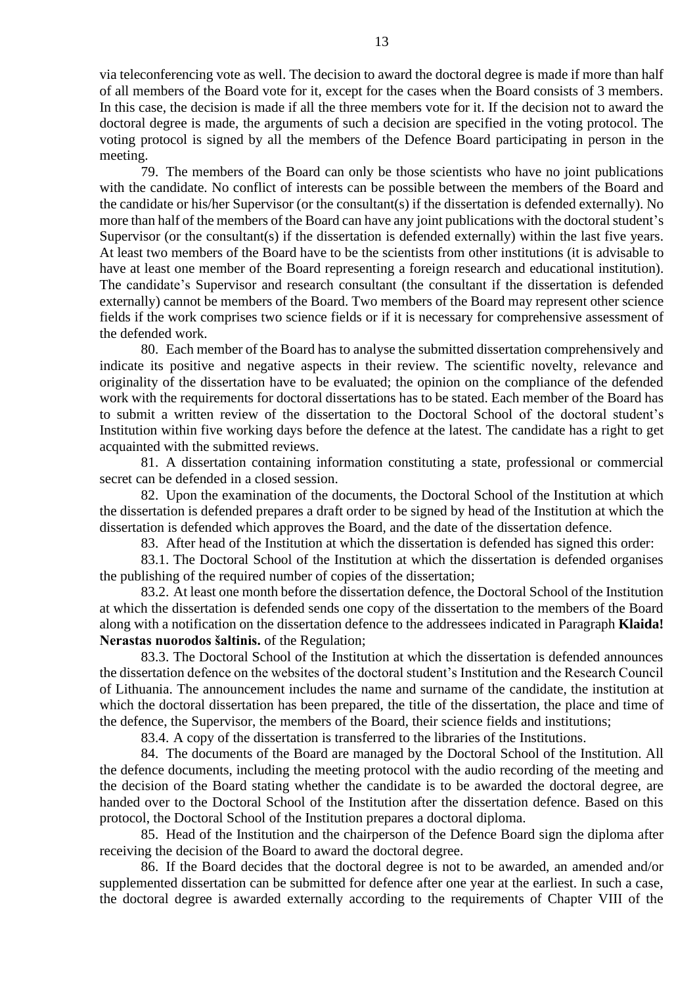via teleconferencing vote as well. The decision to award the doctoral degree is made if more than half of all members of the Board vote for it, except for the cases when the Board consists of 3 members. In this case, the decision is made if all the three members vote for it. If the decision not to award the doctoral degree is made, the arguments of such a decision are specified in the voting protocol. The voting protocol is signed by all the members of the Defence Board participating in person in the meeting.

79. The members of the Board can only be those scientists who have no joint publications with the candidate. No conflict of interests can be possible between the members of the Board and the candidate or his/her Supervisor (or the consultant(s) if the dissertation is defended externally). No more than half of the members of the Board can have any joint publications with the doctoral student's Supervisor (or the consultant(s) if the dissertation is defended externally) within the last five years. At least two members of the Board have to be the scientists from other institutions (it is advisable to have at least one member of the Board representing a foreign research and educational institution). The candidate's Supervisor and research consultant (the consultant if the dissertation is defended externally) cannot be members of the Board. Two members of the Board may represent other science fields if the work comprises two science fields or if it is necessary for comprehensive assessment of the defended work.

80. Each member of the Board has to analyse the submitted dissertation comprehensively and indicate its positive and negative aspects in their review. The scientific novelty, relevance and originality of the dissertation have to be evaluated; the opinion on the compliance of the defended work with the requirements for doctoral dissertations has to be stated. Each member of the Board has to submit a written review of the dissertation to the Doctoral School of the doctoral student's Institution within five working days before the defence at the latest. The candidate has a right to get acquainted with the submitted reviews.

81. A dissertation containing information constituting a state, professional or commercial secret can be defended in a closed session.

82. Upon the examination of the documents, the Doctoral School of the Institution at which the dissertation is defended prepares a draft order to be signed by head of the Institution at which the dissertation is defended which approves the Board, and the date of the dissertation defence.

83. After head of the Institution at which the dissertation is defended has signed this order:

83.1. The Doctoral School of the Institution at which the dissertation is defended organises the publishing of the required number of copies of the dissertation;

83.2. At least one month before the dissertation defence, the Doctoral School of the Institution at which the dissertation is defended sends one copy of the dissertation to the members of the Board along with a notification on the dissertation defence to the addressees indicated in Paragraph **Klaida! Nerastas nuorodos šaltinis.** of the Regulation;

83.3. The Doctoral School of the Institution at which the dissertation is defended announces the dissertation defence on the websites of the doctoral student's Institution and the Research Council of Lithuania. The announcement includes the name and surname of the candidate, the institution at which the doctoral dissertation has been prepared, the title of the dissertation, the place and time of the defence, the Supervisor, the members of the Board, their science fields and institutions;

83.4. A copy of the dissertation is transferred to the libraries of the Institutions.

84. The documents of the Board are managed by the Doctoral School of the Institution. All the defence documents, including the meeting protocol with the audio recording of the meeting and the decision of the Board stating whether the candidate is to be awarded the doctoral degree, are handed over to the Doctoral School of the Institution after the dissertation defence. Based on this protocol, the Doctoral School of the Institution prepares a doctoral diploma.

85. Head of the Institution and the chairperson of the Defence Board sign the diploma after receiving the decision of the Board to award the doctoral degree.

86. If the Board decides that the doctoral degree is not to be awarded, an amended and/or supplemented dissertation can be submitted for defence after one year at the earliest. In such a case, the doctoral degree is awarded externally according to the requirements of Chapter VIII of the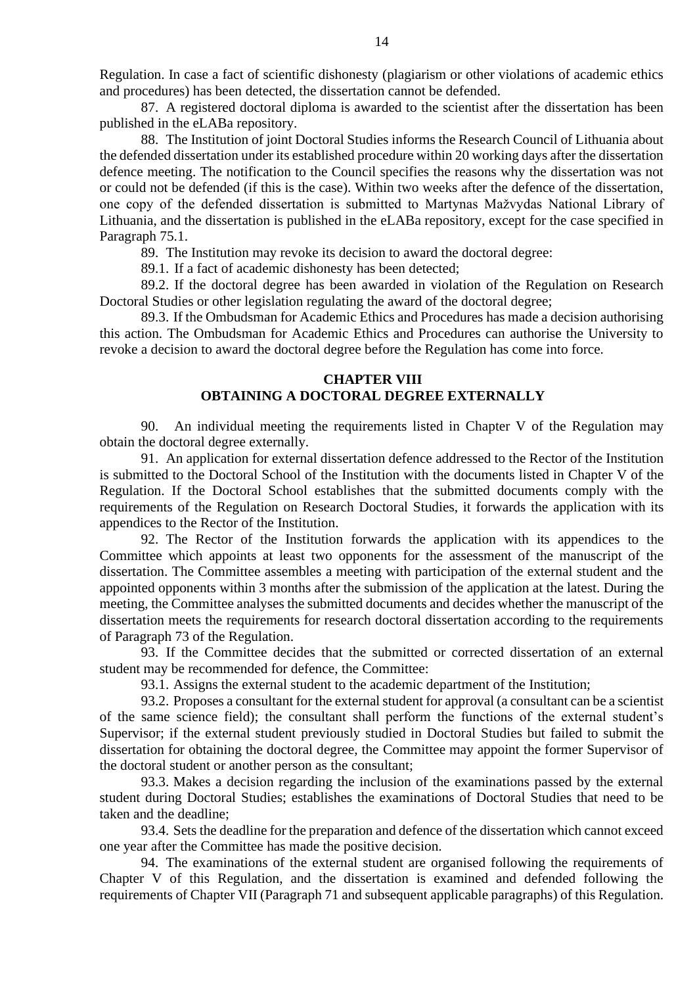Regulation. In case a fact of scientific dishonesty (plagiarism or other violations of academic ethics and procedures) has been detected, the dissertation cannot be defended.

87. A registered doctoral diploma is awarded to the scientist after the dissertation has been published in the eLABa repository.

88. The Institution of joint Doctoral Studies informs the Research Council of Lithuania about the defended dissertation under its established procedure within 20 working days after the dissertation defence meeting. The notification to the Council specifies the reasons why the dissertation was not or could not be defended (if this is the case). Within two weeks after the defence of the dissertation, one copy of the defended dissertation is submitted to Martynas Mažvydas National Library of Lithuania, and the dissertation is published in the eLABa repository, except for the case specified in Paragraph 75.1.

89. The Institution may revoke its decision to award the doctoral degree:

89.1. If a fact of academic dishonesty has been detected;

89.2. If the doctoral degree has been awarded in violation of the Regulation on Research Doctoral Studies or other legislation regulating the award of the doctoral degree;

89.3. If the Ombudsman for Academic Ethics and Procedures has made a decision authorising this action. The Ombudsman for Academic Ethics and Procedures can authorise the University to revoke a decision to award the doctoral degree before the Regulation has come into force.

# **CHAPTER VIII OBTAINING A DOCTORAL DEGREE EXTERNALLY**

90. An individual meeting the requirements listed in Chapter V of the Regulation may obtain the doctoral degree externally.

91. An application for external dissertation defence addressed to the Rector of the Institution is submitted to the Doctoral School of the Institution with the documents listed in Chapter V of the Regulation. If the Doctoral School establishes that the submitted documents comply with the requirements of the Regulation on Research Doctoral Studies, it forwards the application with its appendices to the Rector of the Institution.

92. The Rector of the Institution forwards the application with its appendices to the Committee which appoints at least two opponents for the assessment of the manuscript of the dissertation. The Committee assembles a meeting with participation of the external student and the appointed opponents within 3 months after the submission of the application at the latest. During the meeting, the Committee analyses the submitted documents and decides whether the manuscript of the dissertation meets the requirements for research doctoral dissertation according to the requirements of Paragraph 73 of the Regulation.

93. If the Committee decides that the submitted or corrected dissertation of an external student may be recommended for defence, the Committee:

93.1. Assigns the external student to the academic department of the Institution;

93.2. Proposes a consultant for the external student for approval (a consultant can be a scientist of the same science field); the consultant shall perform the functions of the external student's Supervisor; if the external student previously studied in Doctoral Studies but failed to submit the dissertation for obtaining the doctoral degree, the Committee may appoint the former Supervisor of the doctoral student or another person as the consultant;

93.3. Makes a decision regarding the inclusion of the examinations passed by the external student during Doctoral Studies; establishes the examinations of Doctoral Studies that need to be taken and the deadline;

93.4. Sets the deadline for the preparation and defence of the dissertation which cannot exceed one year after the Committee has made the positive decision.

94. The examinations of the external student are organised following the requirements of Chapter V of this Regulation, and the dissertation is examined and defended following the requirements of Chapter VII (Paragraph 71 and subsequent applicable paragraphs) of this Regulation.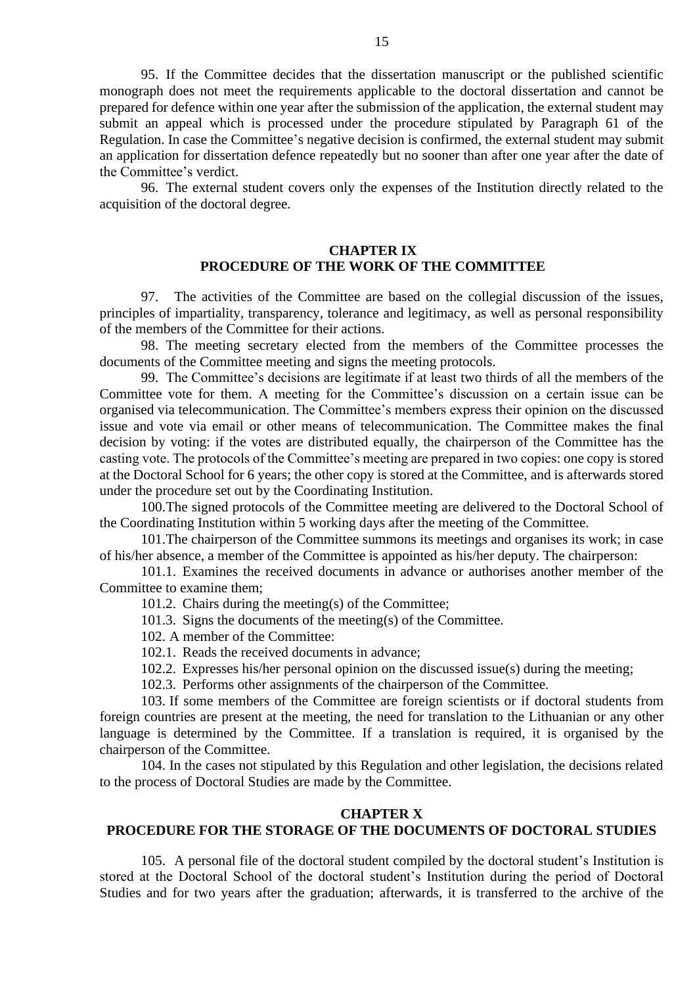95. If the Committee decides that the dissertation manuscript or the published scientific monograph does not meet the requirements applicable to the doctoral dissertation and cannot be prepared for defence within one year after the submission of the application, the external student may submit an appeal which is processed under the procedure stipulated by Paragraph 61 of the Regulation. In case the Committee's negative decision is confirmed, the external student may submit an application for dissertation defence repeatedly but no sooner than after one year after the date of the Committee's verdict.

96. The external student covers only the expenses of the Institution directly related to the acquisition of the doctoral degree.

## **CHAPTER IX PROCEDURE OF THE WORK OF THE COMMITTEE**

97. The activities of the Committee are based on the collegial discussion of the issues, principles of impartiality, transparency, tolerance and legitimacy, as well as personal responsibility of the members of the Committee for their actions.

98. The meeting secretary elected from the members of the Committee processes the documents of the Committee meeting and signs the meeting protocols.

99. The Committee's decisions are legitimate if at least two thirds of all the members of the Committee vote for them. A meeting for the Committee's discussion on a certain issue can be organised via telecommunication. The Committee's members express their opinion on the discussed issue and vote via email or other means of telecommunication. The Committee makes the final decision by voting: if the votes are distributed equally, the chairperson of the Committee has the casting vote. The protocols of the Committee's meeting are prepared in two copies: one copy is stored at the Doctoral School for 6 years; the other copy is stored at the Committee, and is afterwards stored under the procedure set out by the Coordinating Institution.

100.The signed protocols of the Committee meeting are delivered to the Doctoral School of the Coordinating Institution within 5 working days after the meeting of the Committee.

101.The chairperson of the Committee summons its meetings and organises its work; in case of his/her absence, a member of the Committee is appointed as his/her deputy. The chairperson:

101.1. Examines the received documents in advance or authorises another member of the Committee to examine them;

- 101.2. Chairs during the meeting(s) of the Committee;
- 101.3. Signs the documents of the meeting(s) of the Committee.
- 102. A member of the Committee:
- 102.1. Reads the received documents in advance;
- 102.2. Expresses his/her personal opinion on the discussed issue(s) during the meeting;
- 102.3. Performs other assignments of the chairperson of the Committee.

103. If some members of the Committee are foreign scientists or if doctoral students from foreign countries are present at the meeting, the need for translation to the Lithuanian or any other language is determined by the Committee. If a translation is required, it is organised by the chairperson of the Committee.

104. In the cases not stipulated by this Regulation and other legislation, the decisions related to the process of Doctoral Studies are made by the Committee.

#### **CHAPTER X**

## **PROCEDURE FOR THE STORAGE OF THE DOCUMENTS OF DOCTORAL STUDIES**

105. A personal file of the doctoral student compiled by the doctoral student's Institution is stored at the Doctoral School of the doctoral student's Institution during the period of Doctoral Studies and for two years after the graduation; afterwards, it is transferred to the archive of the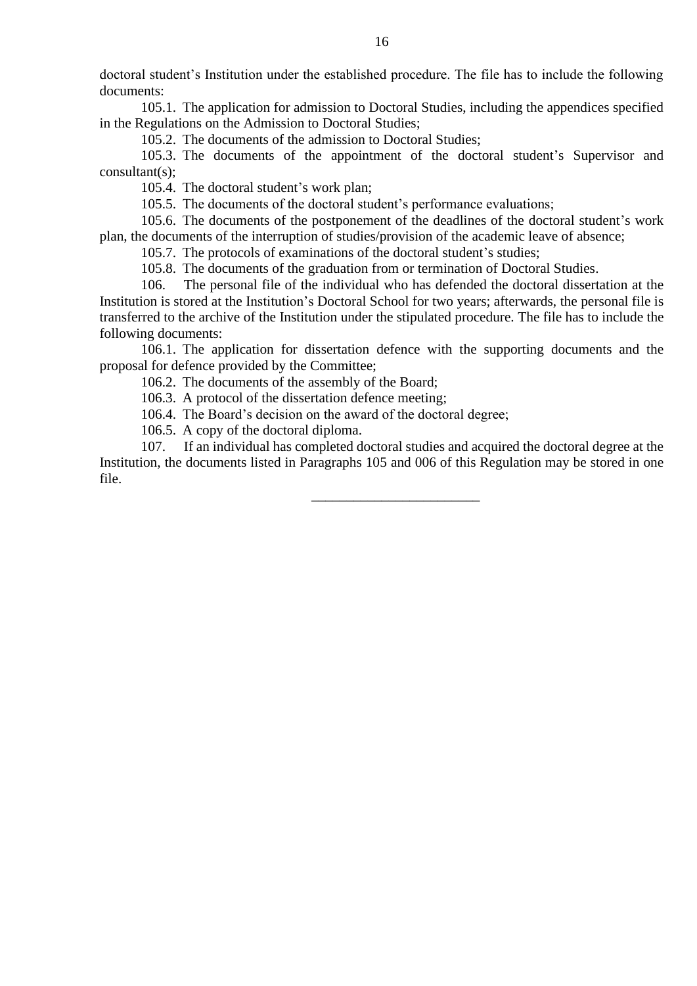doctoral student's Institution under the established procedure. The file has to include the following documents:

105.1. The application for admission to Doctoral Studies, including the appendices specified in the Regulations on the Admission to Doctoral Studies;

105.2. The documents of the admission to Doctoral Studies;

105.3. The documents of the appointment of the doctoral student's Supervisor and consultant(s);

105.4. The doctoral student's work plan;

105.5. The documents of the doctoral student's performance evaluations;

105.6. The documents of the postponement of the deadlines of the doctoral student's work plan, the documents of the interruption of studies/provision of the academic leave of absence;

105.7. The protocols of examinations of the doctoral student's studies;

105.8. The documents of the graduation from or termination of Doctoral Studies.

106. The personal file of the individual who has defended the doctoral dissertation at the Institution is stored at the Institution's Doctoral School for two years; afterwards, the personal file is transferred to the archive of the Institution under the stipulated procedure. The file has to include the following documents:

106.1. The application for dissertation defence with the supporting documents and the proposal for defence provided by the Committee;

106.2. The documents of the assembly of the Board;

106.3. A protocol of the dissertation defence meeting;

106.4. The Board's decision on the award of the doctoral degree;

106.5. A copy of the doctoral diploma.

107. If an individual has completed doctoral studies and acquired the doctoral degree at the Institution, the documents listed in Paragraphs 105 and [00](#page-2-0)6 of this Regulation may be stored in one file.

\_\_\_\_\_\_\_\_\_\_\_\_\_\_\_\_\_\_\_\_\_\_\_\_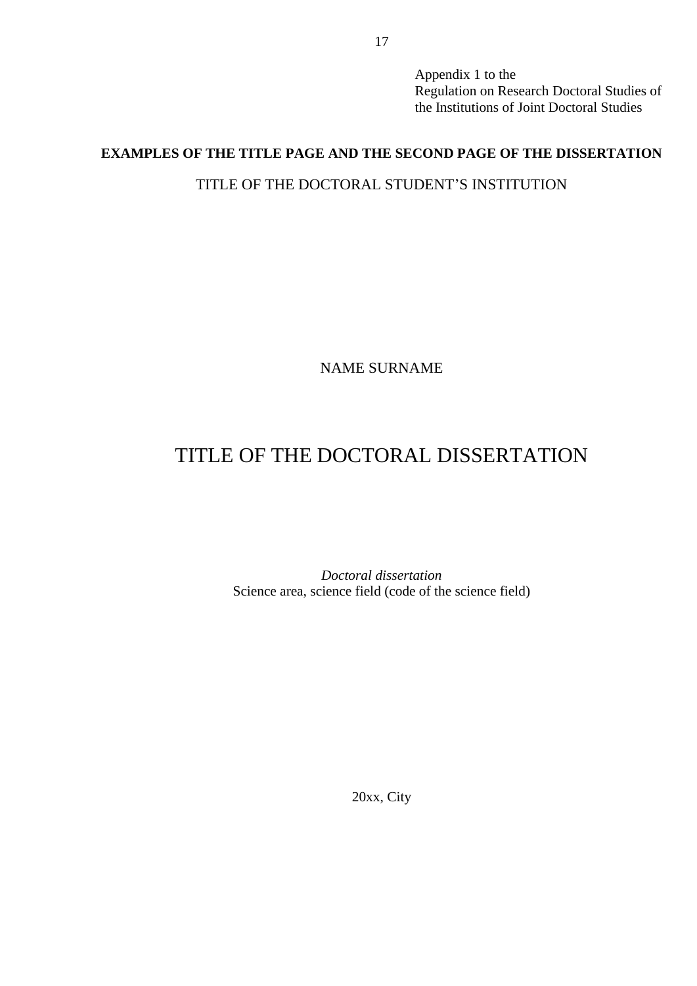Appendix 1 to the Regulation on Research Doctoral Studies of the Institutions of Joint Doctoral Studies

# **EXAMPLES OF THE TITLE PAGE AND THE SECOND PAGE OF THE DISSERTATION**

# TITLE OF THE DOCTORAL STUDENT'S INSTITUTION

NAME SURNAME

# TITLE OF THE DOCTORAL DISSERTATION

*Doctoral dissertation* Science area, science field (code of the science field)

20xx, City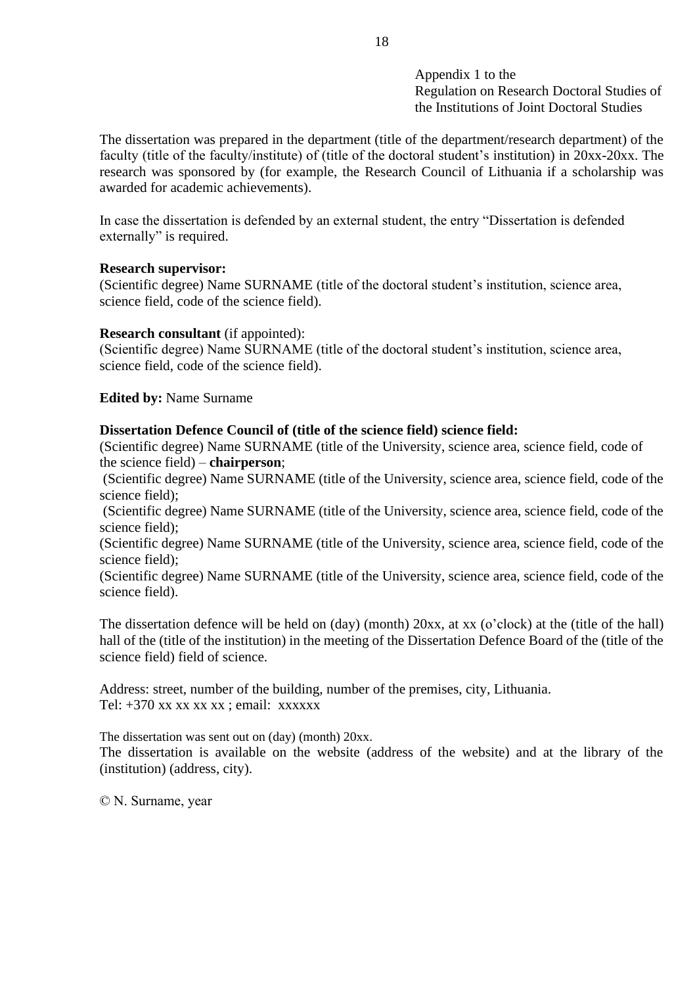Appendix 1 to the Regulation on Research Doctoral Studies of the Institutions of Joint Doctoral Studies

The dissertation was prepared in the department (title of the department/research department) of the faculty (title of the faculty/institute) of (title of the doctoral student's institution) in 20xx-20xx. The research was sponsored by (for example, the Research Council of Lithuania if a scholarship was awarded for academic achievements).

In case the dissertation is defended by an external student, the entry "Dissertation is defended externally" is required.

# **Research supervisor:**

(Scientific degree) Name SURNAME (title of the doctoral student's institution, science area, science field, code of the science field).

# **Research consultant** (if appointed):

(Scientific degree) Name SURNAME (title of the doctoral student's institution, science area, science field, code of the science field).

# **Edited by:** Name Surname

# **Dissertation Defence Council of (title of the science field) science field:**

(Scientific degree) Name SURNAME (title of the University, science area, science field, code of the science field) – **chairperson**;

(Scientific degree) Name SURNAME (title of the University, science area, science field, code of the science field);

(Scientific degree) Name SURNAME (title of the University, science area, science field, code of the science field);

(Scientific degree) Name SURNAME (title of the University, science area, science field, code of the science field);

(Scientific degree) Name SURNAME (title of the University, science area, science field, code of the science field).

The dissertation defence will be held on (day) (month) 20xx, at xx (o'clock) at the (title of the hall) hall of the (title of the institution) in the meeting of the Dissertation Defence Board of the (title of the science field) field of science.

Address: street, number of the building, number of the premises, city, Lithuania. Tel:  $+370$  xx xx xx xx ; email: xxxxxx

The dissertation was sent out on (day) (month) 20xx. The dissertation is available on the website (address of the website) and at the library of the (institution) (address, city).

© N. Surname, year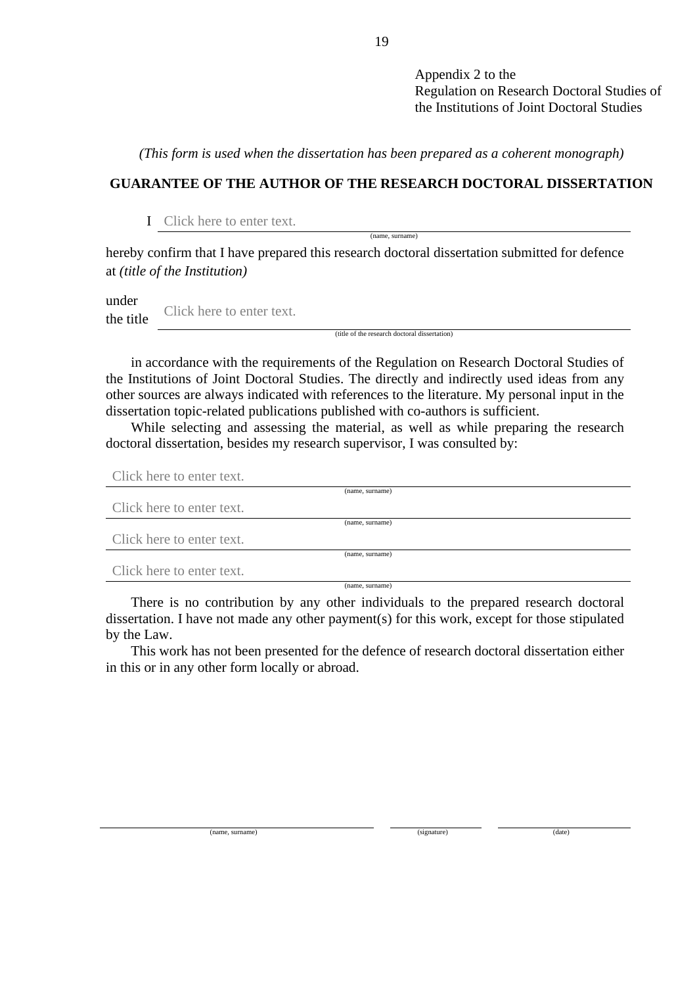Appendix 2 to the Regulation on Research Doctoral Studies of the Institutions of Joint Doctoral Studies

*(This form is used when the dissertation has been prepared as a coherent monograph)*

# **GUARANTEE OF THE AUTHOR OF THE RESEARCH DOCTORAL DISSERTATION**

I Click here to enter text.

hereby confirm that I have prepared this research doctoral dissertation submitted for defence at *(title of the Institution)*

under the title Click here to enter text.

(title of the research doctoral dissertation)

(name, surname)

in accordance with the requirements of the Regulation on Research Doctoral Studies of the Institutions of Joint Doctoral Studies. The directly and indirectly used ideas from any other sources are always indicated with references to the literature. My personal input in the dissertation topic-related publications published with co-authors is sufficient.

While selecting and assessing the material, as well as while preparing the research doctoral dissertation, besides my research supervisor, I was consulted by:

Click here to enter text.

|                           | (name, surname) |
|---------------------------|-----------------|
| Click here to enter text. |                 |
|                           | (name, surname) |
| Click here to enter text. |                 |
|                           | (name, surname) |
| Click here to enter text. |                 |
|                           | (name. surname) |

There is no contribution by any other individuals to the prepared research doctoral dissertation. I have not made any other payment(s) for this work, except for those stipulated by the Law.

This work has not been presented for the defence of research doctoral dissertation either in this or in any other form locally or abroad.

(name, surname) (date) (date) (date) (date) (date) (date)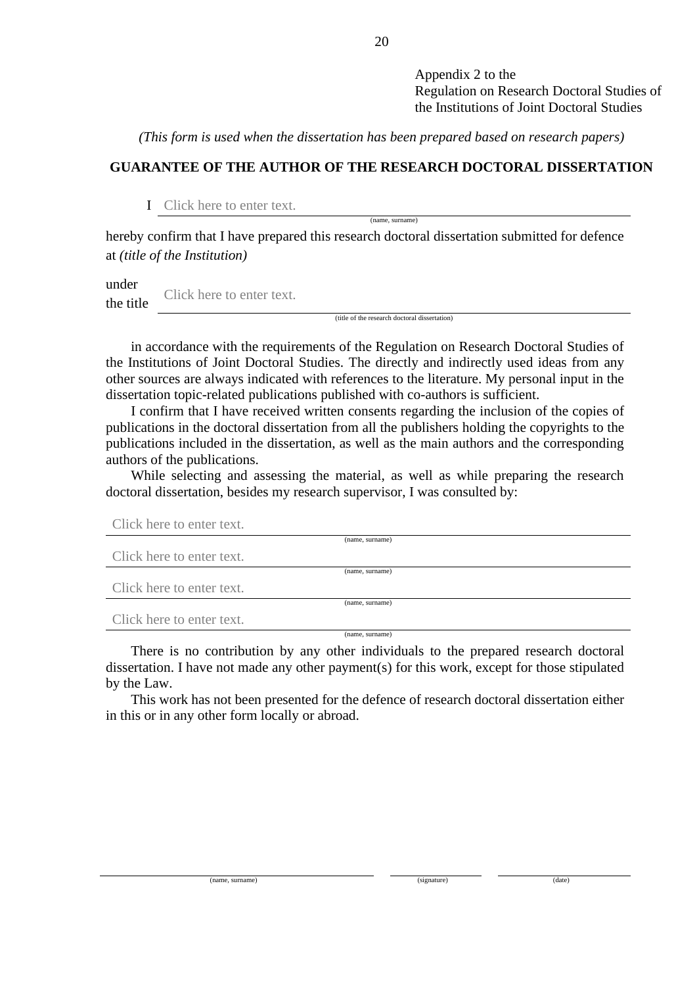Appendix 2 to the Regulation on Research Doctoral Studies of the Institutions of Joint Doctoral Studies

*(This form is used when the dissertation has been prepared based on research papers)*

# **GUARANTEE OF THE AUTHOR OF THE RESEARCH DOCTORAL DISSERTATION**

(name, surname)

I Click here to enter text.

hereby confirm that I have prepared this research doctoral dissertation submitted for defence at *(title of the Institution)*

under the title Click here to enter text.

(title of the research doctoral dissertation)

in accordance with the requirements of the Regulation on Research Doctoral Studies of the Institutions of Joint Doctoral Studies. The directly and indirectly used ideas from any other sources are always indicated with references to the literature. My personal input in the dissertation topic-related publications published with co-authors is sufficient.

I confirm that I have received written consents regarding the inclusion of the copies of publications in the doctoral dissertation from all the publishers holding the copyrights to the publications included in the dissertation, as well as the main authors and the corresponding authors of the publications.

While selecting and assessing the material, as well as while preparing the research doctoral dissertation, besides my research supervisor, I was consulted by:

| Click here to enter text. |                 |
|---------------------------|-----------------|
|                           | (name, surname) |
| Click here to enter text. |                 |
|                           | (name, surname) |
| Click here to enter text. |                 |
|                           | (name, surname) |
| Click here to enter text. |                 |
|                           | (name, surname) |

There is no contribution by any other individuals to the prepared research doctoral dissertation. I have not made any other payment(s) for this work, except for those stipulated by the Law.

This work has not been presented for the defence of research doctoral dissertation either in this or in any other form locally or abroad.

(name, surname) (signature) (date)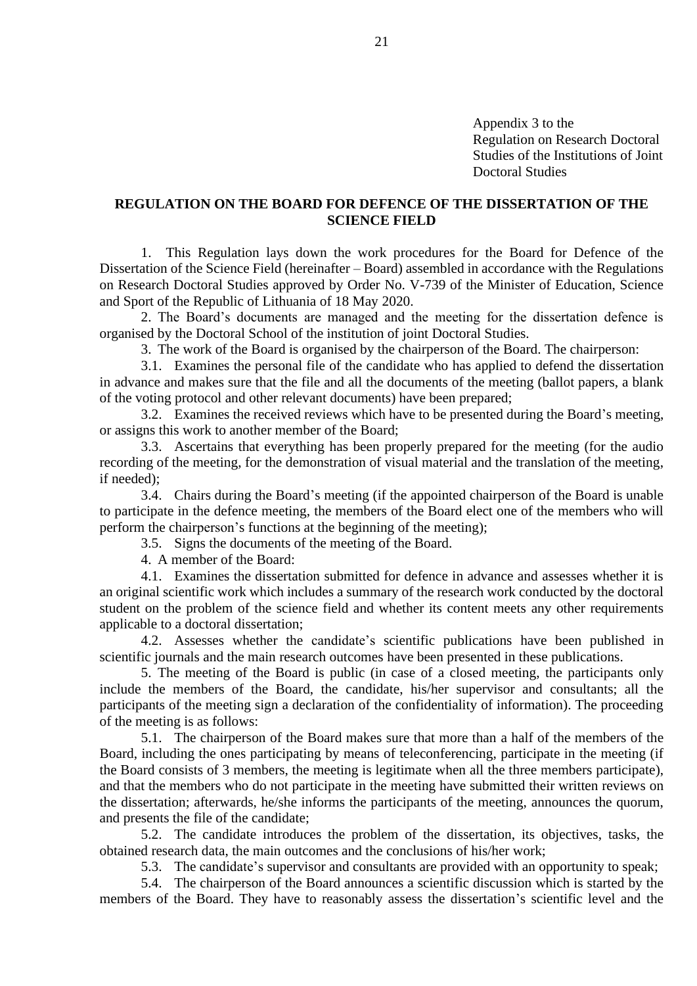Appendix 3 to the Regulation on Research Doctoral Studies of the Institutions of Joint Doctoral Studies

## **REGULATION ON THE BOARD FOR DEFENCE OF THE DISSERTATION OF THE SCIENCE FIELD**

1. This Regulation lays down the work procedures for the Board for Defence of the Dissertation of the Science Field (hereinafter – Board) assembled in accordance with the Regulations on Research Doctoral Studies approved by Order No. V-739 of the Minister of Education, Science and Sport of the Republic of Lithuania of 18 May 2020.

2. The Board's documents are managed and the meeting for the dissertation defence is organised by the Doctoral School of the institution of joint Doctoral Studies.

3. The work of the Board is organised by the chairperson of the Board. The chairperson:

3.1. Examines the personal file of the candidate who has applied to defend the dissertation in advance and makes sure that the file and all the documents of the meeting (ballot papers, a blank of the voting protocol and other relevant documents) have been prepared;

3.2. Examines the received reviews which have to be presented during the Board's meeting, or assigns this work to another member of the Board;

3.3. Ascertains that everything has been properly prepared for the meeting (for the audio recording of the meeting, for the demonstration of visual material and the translation of the meeting, if needed);

3.4. Chairs during the Board's meeting (if the appointed chairperson of the Board is unable to participate in the defence meeting, the members of the Board elect one of the members who will perform the chairperson's functions at the beginning of the meeting);

3.5. Signs the documents of the meeting of the Board.

4. A member of the Board:

4.1. Examines the dissertation submitted for defence in advance and assesses whether it is an original scientific work which includes a summary of the research work conducted by the doctoral student on the problem of the science field and whether its content meets any other requirements applicable to a doctoral dissertation;

4.2. Assesses whether the candidate's scientific publications have been published in scientific journals and the main research outcomes have been presented in these publications.

5. The meeting of the Board is public (in case of a closed meeting, the participants only include the members of the Board, the candidate, his/her supervisor and consultants; all the participants of the meeting sign a declaration of the confidentiality of information). The proceeding of the meeting is as follows:

5.1. The chairperson of the Board makes sure that more than a half of the members of the Board, including the ones participating by means of teleconferencing, participate in the meeting (if the Board consists of 3 members, the meeting is legitimate when all the three members participate), and that the members who do not participate in the meeting have submitted their written reviews on the dissertation; afterwards, he/she informs the participants of the meeting, announces the quorum, and presents the file of the candidate;

5.2. The candidate introduces the problem of the dissertation, its objectives, tasks, the obtained research data, the main outcomes and the conclusions of his/her work;

5.3. The candidate's supervisor and consultants are provided with an opportunity to speak;

5.4. The chairperson of the Board announces a scientific discussion which is started by the members of the Board. They have to reasonably assess the dissertation's scientific level and the